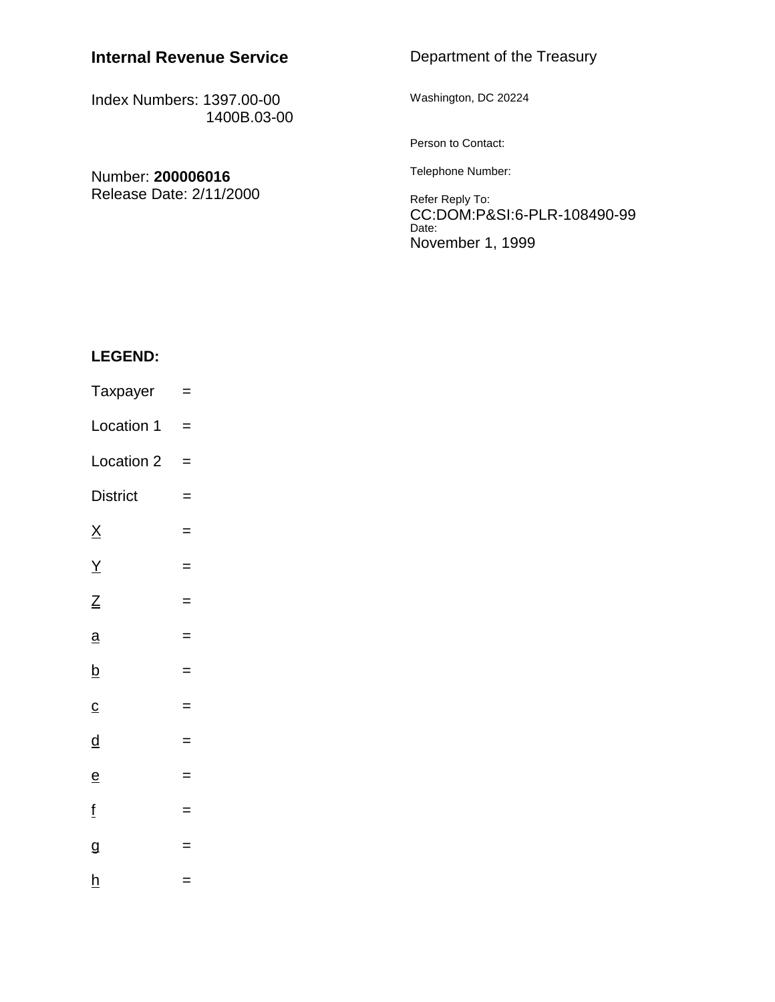# **Internal Revenue Service**

Index Numbers: 1397.00-00 1400B.03-00

| Number: 200006016<br>Release Date: 2/11/2000 | Person to Contact:                                                        |
|----------------------------------------------|---------------------------------------------------------------------------|
|                                              | Telephone Number:                                                         |
|                                              | Refer Reply To:<br>CC:DOM:P&SI:6-PLR-108490-9<br>Date:<br>November 1 1000 |

## **LEGEND:**

- Taxpayer = Location  $1 =$
- Location  $2 =$
- $D$ istrict  $=$
- $\overline{X}$  =
- $\frac{Y}{I}$  =
- $Z =$
- $\frac{a}{x}$  =
- $\frac{b}{2}$  =
- $\frac{c}{c}$  =
- $\frac{d}{dx}$  =
- $\frac{e}{e}$  =
- $\frac{f}{f}$  =
- 
- $g =$
- $h$  =

## Department of the Treasury

Washington, DC 20224

CC:DOM:P&SI:6-PLR-108490-99 November 1, 1999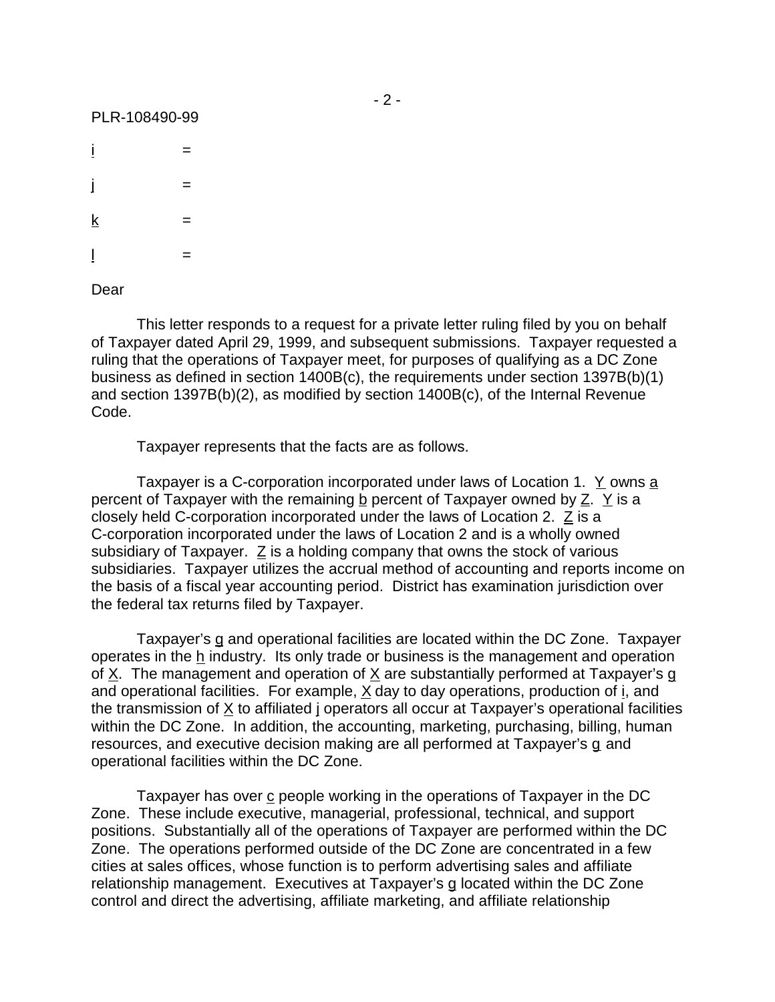$i =$ j =  $k =$  $\frac{1}{2}$  =

Dear

This letter responds to a request for a private letter ruling filed by you on behalf of Taxpayer dated April 29, 1999, and subsequent submissions. Taxpayer requested a ruling that the operations of Taxpayer meet, for purposes of qualifying as a DC Zone business as defined in section 1400B(c), the requirements under section 1397B(b)(1) and section 1397B(b)(2), as modified by section 1400B(c), of the Internal Revenue Code.

Taxpayer represents that the facts are as follows.

Taxpayer is a C-corporation incorporated under laws of Location 1. Y owns a percent of Taxpayer with the remaining b percent of Taxpayer owned by Z. Y is a closely held C-corporation incorporated under the laws of Location 2. Z is a C-corporation incorporated under the laws of Location 2 and is a wholly owned subsidiary of Taxpayer. Z is a holding company that owns the stock of various subsidiaries. Taxpayer utilizes the accrual method of accounting and reports income on the basis of a fiscal year accounting period. District has examination jurisdiction over the federal tax returns filed by Taxpayer.

Taxpayer's g and operational facilities are located within the DC Zone. Taxpayer operates in the h industry. Its only trade or business is the management and operation of X. The management and operation of X are substantially performed at Taxpayer's g and operational facilities. For example,  $X$  day to day operations, production of  $i$ , and the transmission of X to affiliated j operators all occur at Taxpayer's operational facilities within the DC Zone. In addition, the accounting, marketing, purchasing, billing, human resources, and executive decision making are all performed at Taxpayer's g and operational facilities within the DC Zone.

Taxpayer has over c people working in the operations of Taxpayer in the DC Zone. These include executive, managerial, professional, technical, and support positions. Substantially all of the operations of Taxpayer are performed within the DC Zone. The operations performed outside of the DC Zone are concentrated in a few cities at sales offices, whose function is to perform advertising sales and affiliate relationship management. Executives at Taxpayer's g located within the DC Zone control and direct the advertising, affiliate marketing, and affiliate relationship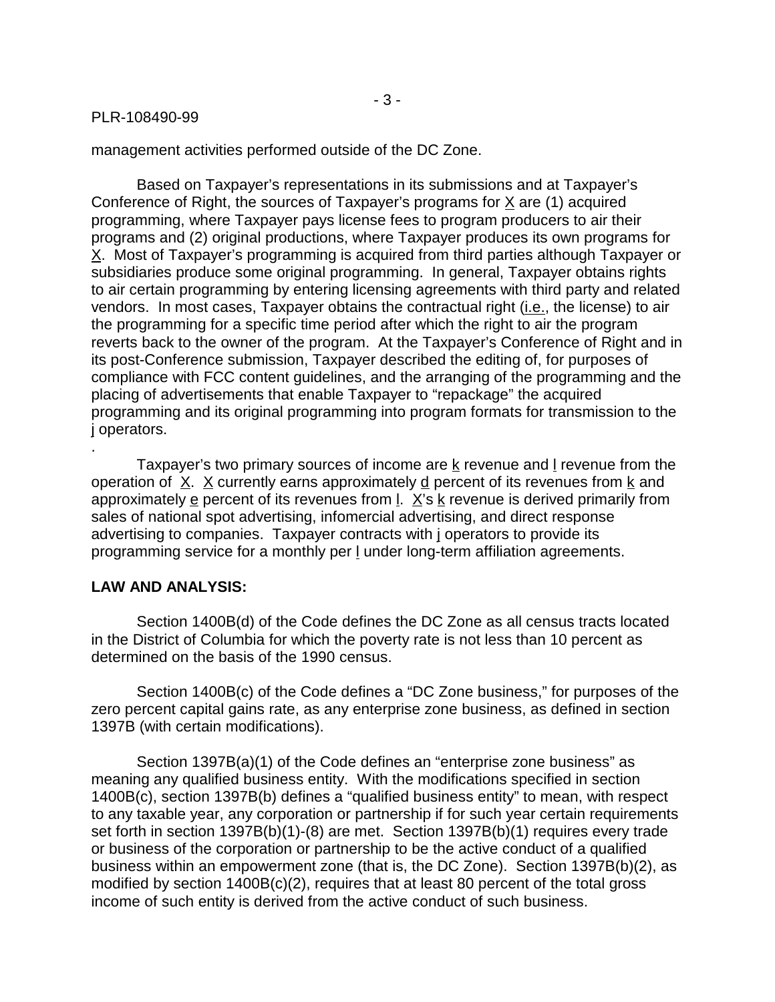management activities performed outside of the DC Zone.

Based on Taxpayer's representations in its submissions and at Taxpayer's Conference of Right, the sources of Taxpayer's programs for X are (1) acquired programming, where Taxpayer pays license fees to program producers to air their programs and (2) original productions, where Taxpayer produces its own programs for X. Most of Taxpayer's programming is acquired from third parties although Taxpayer or subsidiaries produce some original programming. In general, Taxpayer obtains rights to air certain programming by entering licensing agreements with third party and related vendors. In most cases, Taxpayer obtains the contractual right (i.e., the license) to air the programming for a specific time period after which the right to air the program reverts back to the owner of the program. At the Taxpayer's Conference of Right and in its post-Conference submission, Taxpayer described the editing of, for purposes of compliance with FCC content guidelines, and the arranging of the programming and the placing of advertisements that enable Taxpayer to "repackage" the acquired programming and its original programming into program formats for transmission to the j operators.

Taxpayer's two primary sources of income are  $k$  revenue and I revenue from the operation of  $X. X$  currently earns approximately  $d$  percent of its revenues from  $k$  and approximately e percent of its revenues from l. X's k revenue is derived primarily from sales of national spot advertising, infomercial advertising, and direct response advertising to companies. Taxpayer contracts with j operators to provide its programming service for a monthly per l under long-term affiliation agreements.

## **LAW AND ANALYSIS:**

.

Section 1400B(d) of the Code defines the DC Zone as all census tracts located in the District of Columbia for which the poverty rate is not less than 10 percent as determined on the basis of the 1990 census.

Section 1400B(c) of the Code defines a "DC Zone business," for purposes of the zero percent capital gains rate, as any enterprise zone business, as defined in section 1397B (with certain modifications).

Section 1397B(a)(1) of the Code defines an "enterprise zone business" as meaning any qualified business entity. With the modifications specified in section 1400B(c), section 1397B(b) defines a "qualified business entity" to mean, with respect to any taxable year, any corporation or partnership if for such year certain requirements set forth in section 1397B(b)(1)-(8) are met. Section 1397B(b)(1) requires every trade or business of the corporation or partnership to be the active conduct of a qualified business within an empowerment zone (that is, the DC Zone). Section 1397B(b)(2), as modified by section 1400B(c)(2), requires that at least 80 percent of the total gross income of such entity is derived from the active conduct of such business.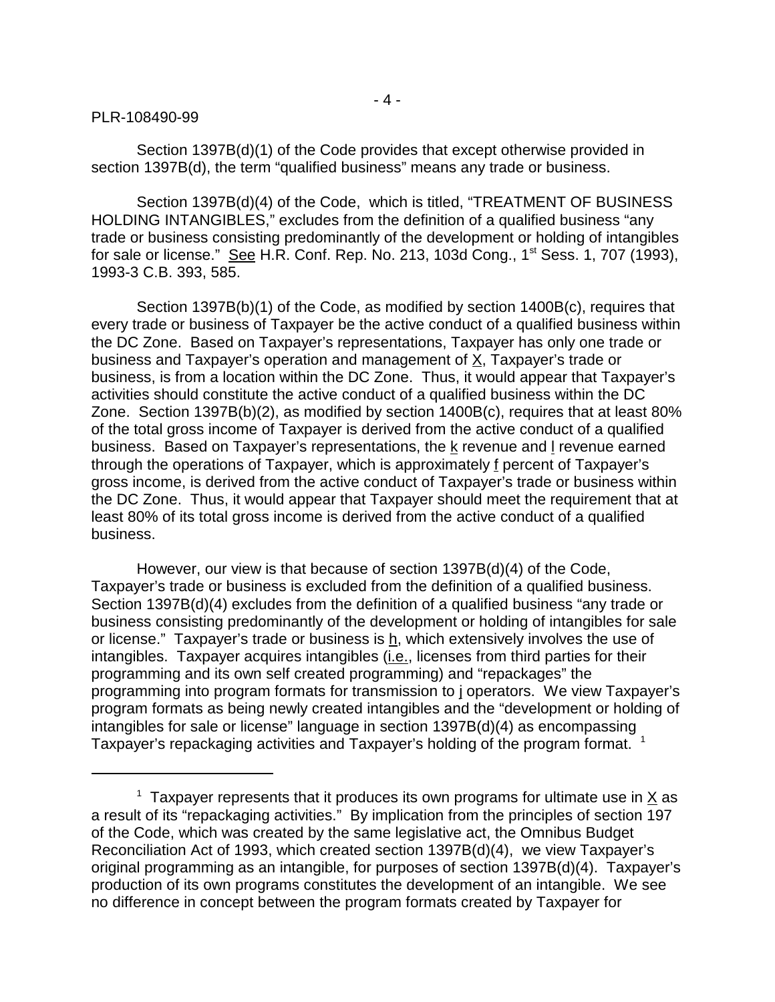- 4 -

#### PLR-108490-99

Section 1397B(d)(1) of the Code provides that except otherwise provided in section 1397B(d), the term "qualified business" means any trade or business.

Section 1397B(d)(4) of the Code, which is titled, "TREATMENT OF BUSINESS HOLDING INTANGIBLES," excludes from the definition of a qualified business "any trade or business consisting predominantly of the development or holding of intangibles for sale or license." See H.R. Conf. Rep. No. 213, 103d Cong., 1<sup>st</sup> Sess. 1, 707 (1993), 1993-3 C.B. 393, 585.

Section 1397B(b)(1) of the Code, as modified by section 1400B(c), requires that every trade or business of Taxpayer be the active conduct of a qualified business within the DC Zone. Based on Taxpayer's representations, Taxpayer has only one trade or business and Taxpayer's operation and management of X, Taxpayer's trade or business, is from a location within the DC Zone. Thus, it would appear that Taxpayer's activities should constitute the active conduct of a qualified business within the DC Zone. Section 1397B(b)(2), as modified by section 1400B(c), requires that at least 80% of the total gross income of Taxpayer is derived from the active conduct of a qualified business. Based on Taxpayer's representations, the k revenue and l revenue earned through the operations of Taxpayer, which is approximately f percent of Taxpayer's gross income, is derived from the active conduct of Taxpayer's trade or business within the DC Zone. Thus, it would appear that Taxpayer should meet the requirement that at least 80% of its total gross income is derived from the active conduct of a qualified business.

However, our view is that because of section 1397B(d)(4) of the Code, Taxpayer's trade or business is excluded from the definition of a qualified business. Section 1397B(d)(4) excludes from the definition of a qualified business "any trade or business consisting predominantly of the development or holding of intangibles for sale or license." Taxpayer's trade or business is  $h$ , which extensively involves the use of intangibles. Taxpayer acquires intangibles (i.e., licenses from third parties for their programming and its own self created programming) and "repackages" the programming into program formats for transmission to j operators. We view Taxpayer's program formats as being newly created intangibles and the "development or holding of intangibles for sale or license" language in section 1397B(d)(4) as encompassing Taxpayer's repackaging activities and Taxpayer's holding of the program format.  $1$ 

<sup>&</sup>lt;sup>1</sup> Taxpayer represents that it produces its own programs for ultimate use in  $\underline{X}$  as a result of its "repackaging activities." By implication from the principles of section 197 of the Code, which was created by the same legislative act, the Omnibus Budget Reconciliation Act of 1993, which created section 1397B(d)(4), we view Taxpayer's original programming as an intangible, for purposes of section 1397B(d)(4). Taxpayer's production of its own programs constitutes the development of an intangible. We see no difference in concept between the program formats created by Taxpayer for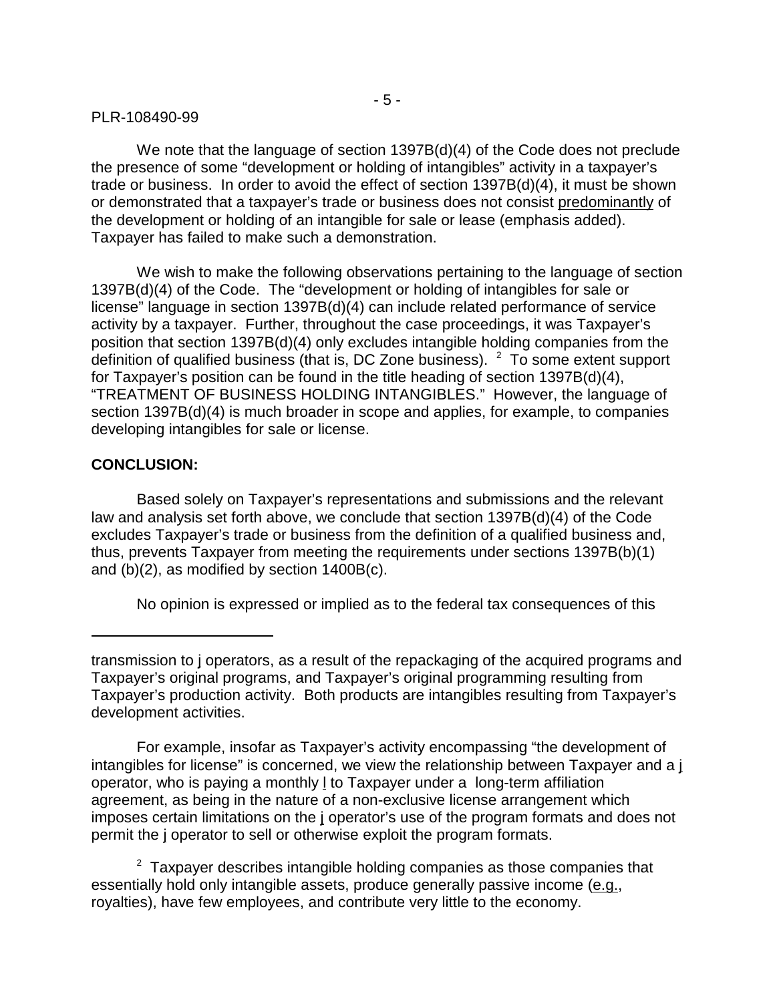We note that the language of section 1397B(d)(4) of the Code does not preclude the presence of some "development or holding of intangibles" activity in a taxpayer's trade or business. In order to avoid the effect of section 1397B(d)(4), it must be shown or demonstrated that a taxpayer's trade or business does not consist predominantly of the development or holding of an intangible for sale or lease (emphasis added). Taxpayer has failed to make such a demonstration.

We wish to make the following observations pertaining to the language of section 1397B(d)(4) of the Code. The "development or holding of intangibles for sale or license" language in section 1397B(d)(4) can include related performance of service activity by a taxpayer. Further, throughout the case proceedings, it was Taxpayer's position that section 1397B(d)(4) only excludes intangible holding companies from the definition of qualified business (that is, DC Zone business).  $2$  To some extent support for Taxpayer's position can be found in the title heading of section 1397B(d)(4), "TREATMENT OF BUSINESS HOLDING INTANGIBLES." However, the language of section 1397B(d)(4) is much broader in scope and applies, for example, to companies developing intangibles for sale or license.

## **CONCLUSION:**

Based solely on Taxpayer's representations and submissions and the relevant law and analysis set forth above, we conclude that section 1397B(d)(4) of the Code excludes Taxpayer's trade or business from the definition of a qualified business and, thus, prevents Taxpayer from meeting the requirements under sections 1397B(b)(1) and (b)(2), as modified by section 1400B(c).

No opinion is expressed or implied as to the federal tax consequences of this

For example, insofar as Taxpayer's activity encompassing "the development of intangibles for license" is concerned, we view the relationship between Taxpayer and a j operator, who is paying a monthly *I* to Taxpayer under a long-term affiliation agreement, as being in the nature of a non-exclusive license arrangement which imposes certain limitations on the j operator's use of the program formats and does not permit the j operator to sell or otherwise exploit the program formats.

 $2$  Taxpayer describes intangible holding companies as those companies that essentially hold only intangible assets, produce generally passive income (e.g., royalties), have few employees, and contribute very little to the economy.

transmission to j operators, as a result of the repackaging of the acquired programs and Taxpayer's original programs, and Taxpayer's original programming resulting from Taxpayer's production activity. Both products are intangibles resulting from Taxpayer's development activities.